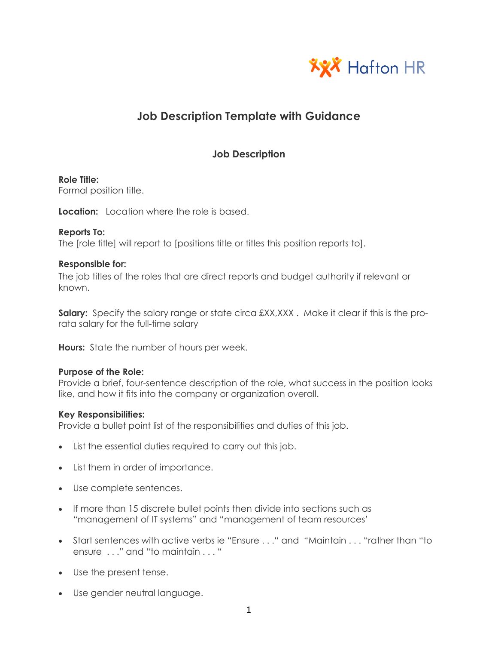

# **Job Description Template with Guidance**

# **Job Description**

# **Role Title:**

Formal position title.

**Location:** Location where the role is based.

# **Reports To:**

The [role title] will report to [positions title or titles this position reports to].

# **Responsible for:**

The job titles of the roles that are direct reports and budget authority if relevant or known.

**Salary:** Specify the salary range or state circa £XX,XXX. Make it clear if this is the prorata salary for the full-time salary

**Hours:** State the number of hours per week.

# **Purpose of the Role:**

Provide a brief, four-sentence description of the role, what success in the position looks like, and how it fits into the company or organization overall.

# **Key Responsibilities:**

Provide a bullet point list of the responsibilities and duties of this job.

- List the essential duties required to carry out this job.
- List them in order of importance.
- Use complete sentences.
- If more than 15 discrete bullet points then divide into sections such as "management of IT systems" and "management of team resources'
- Start sentences with active verbs ie "Ensure . . ." and "Maintain . . . "rather than "to ensure . . ." and "to maintain . . . "
- Use the present tense.
- Use gender neutral language.